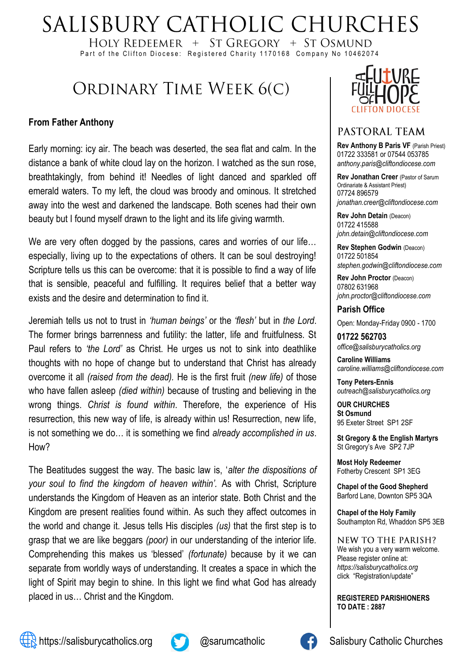# SALISBURY CATHOLIC CHURCHES

HOLY REDEEMER  $+$  ST GREGORY  $+$  ST OSMUND Part of the Clifton Diocese: Registered Charity 1170168 Company No 10462074

## ORDINARY TIME WEEK 6(C)

#### **From Father Anthony**

Early morning: icy air. The beach was deserted, the sea flat and calm. In the distance a bank of white cloud lay on the horizon. I watched as the sun rose, breathtakingly, from behind it! Needles of light danced and sparkled off emerald waters. To my left, the cloud was broody and ominous. It stretched away into the west and darkened the landscape. Both scenes had their own beauty but I found myself drawn to the light and its life giving warmth.

We are very often dogged by the passions, cares and worries of our life... especially, living up to the expectations of others. It can be soul destroying! Scripture tells us this can be overcome: that it is possible to find a way of life that is sensible, peaceful and fulfilling. It requires belief that a better way exists and the desire and determination to find it.

Jeremiah tells us not to trust in *'human beings'* or the *'flesh'* but in *the Lord*. The former brings barrenness and futility: the latter, life and fruitfulness. St Paul refers to *'the Lord'* as Christ. He urges us not to sink into deathlike thoughts with no hope of change but to understand that Christ has already overcome it all *(raised from the dead).* He is the first fruit *(new life)* of those who have fallen asleep *(died within)* because of trusting and believing in the wrong things. *Christ is found within*. Therefore, the experience of His resurrection, this new way of life, is already within us! Resurrection, new life, is not something we do… it is something we find *already accomplished in us*. How?

The Beatitudes suggest the way. The basic law is, '*alter the dispositions of your soul to find the kingdom of heaven within'.* As with Christ, Scripture understands the Kingdom of Heaven as an interior state. Both Christ and the Kingdom are present realities found within. As such they affect outcomes in the world and change it. Jesus tells His disciples *(us)* that the first step is to grasp that we are like beggars *(poor)* in our understanding of the interior life*.* Comprehending this makes us 'blessed' *(fortunate)* because by it we can separate from worldly ways of understanding. It creates a space in which the light of Spirit may begin to shine*.* In this light we find what God has already placed in us… Christ and the Kingdom.



#### PASTORAL TEAM

**Rev Anthony B Paris VF (Parish Priest)** 01722 333581 or 07544 053785 *anthony.paris@cliftondiocese.com*

**Rev Jonathan Creer** (Pastor of Sarum Ordinariate & Assistant Priest) 07724 896579 *jonathan.creer@cliftondiocese.com*

**Rev John Detain** (Deacon) 01722 415588 *john.detain@cliftondiocese.com*

**Rev Stephen Godwin** (Deacon) 01722 501854 *stephen.godwin@cliftondiocese.com*

**Rev John Proctor** (Deacon) 07802 631968 *john.proctor@cliftondiocese.com*

**Parish Office** 

Open: Monday-Friday 0900 - 1700

**01722 562703** *office@salisburycatholics.org*

**Caroline Williams** *caroline.williams@cliftondiocese.com*

**Tony Peters-Ennis** *outreach@salisburycatholics.org*

**OUR CHURCHES St Osmund** 95 Exeter Street SP1 2SF

**St Gregory & the English Martyrs** St Gregory's Ave SP2 7JP

**Most Holy Redeemer**  Fotherby Crescent SP1 3EG

**Chapel of the Good Shepherd** Barford Lane, Downton SP5 3QA

**Chapel of the Holy Family** Southampton Rd, Whaddon SP5 3EB

NEW TO THE PARISH? We wish you a very warm welcome. Please register online at: *[https://salisburycatholics.org](https://p1.pamis.co.uk/salisbury/onlined01cab)*  [click "Registration/update"](https://p1.pamis.co.uk/salisbury/onlined01cab) 

**REGISTERED PARISHIONERS TO DATE : 2887**



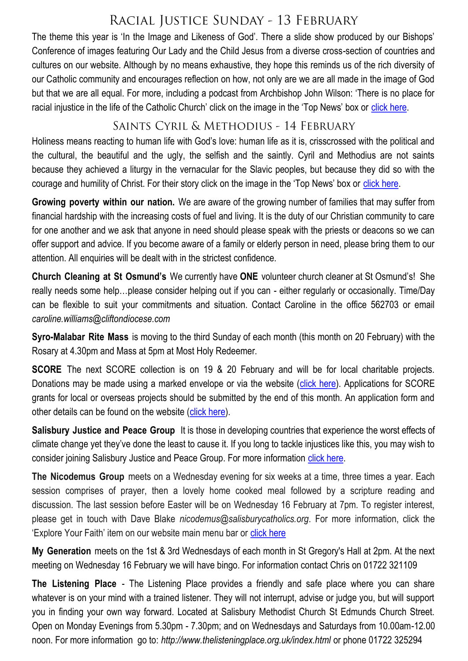## RACIAL JUSTICE SUNDAY - 13 FEBRUARY

The theme this year is 'In the Image and Likeness of God'. There a slide show produced by our Bishops' Conference of images featuring Our Lady and the Child Jesus from a diverse cross-section of countries and cultures on our website. Although by no means exhaustive, they hope this reminds us of the rich diversity of our Catholic community and encourages reflection on how, not only are we are all made in the image of God but that we are all equal. For more, including a podcast from Archbishop John Wilson: 'There is no place for racial injustice in the life of the Catholic Church' click on the image in the 'Top News' box or [click here.](https://salisburycatholics.org/racial-justice-sunday-2022)

### SAINTS CYRIL & METHODIUS - 14 FEBRUARY

Holiness means reacting to human life with God's love: human life as it is, crisscrossed with the political and the cultural, the beautiful and the ugly, the selfish and the saintly. Cyril and Methodius are not saints because they achieved a liturgy in the vernacular for the Slavic peoples, but because they did so with the courage and humility of Christ. For their story click on the image in the 'Top News' box or [click here.](https://salisburycatholics.org/blog/saints-cyril-and-methodius-stories)

**Growing poverty within our nation.** We are aware of the growing number of families that may suffer from financial hardship with the increasing costs of fuel and living. It is the duty of our Christian community to care for one another and we ask that anyone in need should please speak with the priests or deacons so we can offer support and advice. If you become aware of a family or elderly person in need, please bring them to our attention. All enquiries will be dealt with in the strictest confidence.

**Church Cleaning at St Osmund's** We currently have **ONE** volunteer church cleaner at St Osmund's! She really needs some help…please consider helping out if you can - either regularly or occasionally. Time/Day can be flexible to suit your commitments and situation. Contact Caroline in the office 562703 or email *caroline.williams@cliftondiocese.com*

**Syro-Malabar Rite Mass** is moving to the third Sunday of each month (this month on 20 February) with the Rosary at 4.30pm and Mass at 5pm at Most Holy Redeemer.

**SCORE** The next SCORE collection is on 19 & 20 February and will be for local charitable projects. Donations may be made using a marked envelope or via the website ([click here\)](https://salisburycatholics.org/donate-0). Applications for SCORE grants for local or overseas projects should be submitted by the end of this month. An application form and other details can be found on the website ([click here\)](https://salisburycatholics.org/score).

**Salisbury Justice and Peace Group** It is those in developing countries that experience the worst effects of climate change yet they've done the least to cause it. If you long to tackle injustices like this, you may wish to consider joining Salisbury Justice and Peace Group. For more information [click here.](https://salisburycatholics.org/justice-and-peace)

**The Nicodemus Group** meets on a Wednesday evening for six weeks at a time, three times a year. Each session comprises of prayer, then a lovely home cooked meal followed by a scripture reading and discussion. The last session before Easter will be on Wednesday 16 February at 7pm. To register interest, please get in touch with Dave Blake *nicodemus@salisburycatholics.org*. For more information, click the 'Explore Your Faith' item on our website main menu bar or [click here](https://salisburycatholics.org/explore-your-faith)

**My Generation** meets on the 1st & 3rd Wednesdays of each month in St Gregory's Hall at 2pm. At the next meeting on Wednesday 16 February we will have bingo. For information contact Chris on 01722 321109

**The Listening Place** - The Listening Place provides a friendly and safe place where you can share whatever is on your mind with a trained listener. They will not interrupt, advise or judge you, but will support you in finding your own way forward. Located at Salisbury Methodist Church St Edmunds Church Street. Open on Monday Evenings from 5.30pm - 7.30pm; and on Wednesdays and Saturdays from 10.00am-12.00 noon. For more information go to: *http://www.thelisteningplace.org.uk/index.html* or phone 01722 325294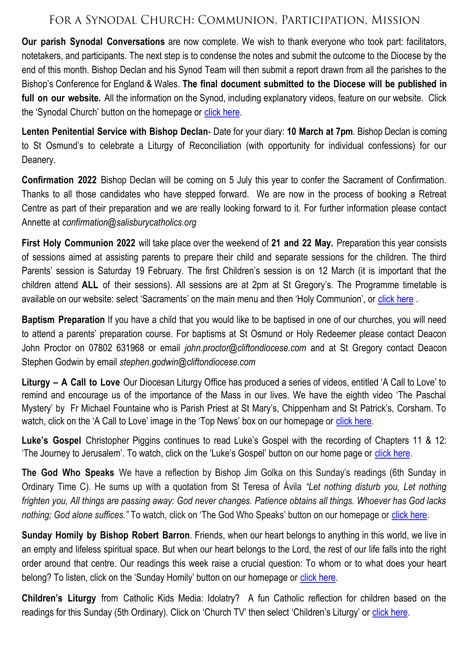#### FOR A SYNODAL CHURCH: COMMUNION, PARTICIPATION, MISSION

**Our parish Synodal Conversations** are now complete. We wish to thank everyone who took part: facilitators, notetakers, and participants. The next step is to condense the notes and submit the outcome to the Diocese by the end of this month. Bishop Declan and his Synod Team will then submit a report drawn from all the parishes to the Bishop's Conference for England & Wales. **The final document submitted to the Diocese will be published in full on our website.** All the information on the Synod, including explanatory videos, feature on our website. Click the 'Synodal Church' button on the homepage or [click here.](https://salisburycatholics.org/synodal-church)

**Lenten Penitential Service with Bishop Declan**- Date for your diary: **10 March at 7pm**. Bishop Declan is coming to St Osmund's to celebrate a Liturgy of Reconciliation (with opportunity for individual confessions) for our Deanery.

**Confirmation 2022** Bishop Declan will be coming on 5 July this year to confer the Sacrament of Confirmation. Thanks to all those candidates who have stepped forward. We are now in the process of booking a Retreat Centre as part of their preparation and we are really looking forward to it. For further information please contact Annette at *confirmation@salisburycatholics.org*

**First Holy Communion 2022** will take place over the weekend of **21 and 22 May.** Preparation this year consists of sessions aimed at assisting parents to prepare their child and separate sessions for the children. The third Parents' session is Saturday 19 February. The first Children's session is on 12 March (it is important that the children attend **ALL** of their sessions). All sessions are at 2pm at St Gregory's. The Programme timetable is available on our website: select 'Sacraments' on the main menu and then 'Holy Communion', or [click here](https://salisburycatholics.org/holy-communion) .

**Baptism Preparation** If you have a child that you would like to be baptised in one of our churches, you will need to attend a parents' preparation course. For baptisms at St Osmund or Holy Redeemer please contact Deacon John Proctor on 07802 631968 or email *john.proctor@cliftondiocese.com* and at St Gregory contact Deacon Stephen Godwin by email *stephen.godwin@cliftondiocese.com*

**Liturgy – A Call to Love** Our Diocesan Liturgy Office has produced a series of videos, entitled 'A Call to Love' to remind and encourage us of the importance of the Mass in our lives. We have the eighth video 'The Paschal Mystery' by Fr Michael Fountaine who is Parish Priest at St Mary's, Chippenham and St Patrick's, Corsham. To watch, click on the 'A Call to Love' image in the 'Top News' box on our homepage or [click here.](https://salisburycatholics.org/call-love)

**Luke's Gospel** Christopher Piggins continues to read Luke's Gospel with the recording of Chapters 11 & 12: 'The Journey to Jerusalem'. To watch, click on the 'Luke's Gospel' button on our home page or [click here.](https://salisburycatholics.org/lukes-gospel)

**The God Who Speaks** We have a reflection by Bishop Jim Golka on this Sunday's readings (6th Sunday in Ordinary Time C). He sums up with a quotation from St Teresa of Ávila *"Let nothing disturb you, Let nothing frighten you, All things are passing away: God never changes. Patience obtains all things. Whoever has God lacks nothing; God alone suffices."* To watch, click on 'The God Who Speaks' button on our homepage or [click here.](https://salisburycatholics.org/god-who-speaks)

**Sunday Homily by Bishop Robert Barron**. Friends, when our heart belongs to anything in this world, we live in an empty and lifeless spiritual space. But when our heart belongs to the Lord, the rest of our life falls into the right order around that centre. Our readings this week raise a crucial question: To whom or to what does your heart belong? To listen, click on the 'Sunday Homily' button on our homepage or [click here.](https://salisburycatholics.org/sunday-homily)

**Children's Liturgy** from Catholic Kids Media: Idolatry? A fun Catholic reflection for children based on the readings for this Sunday (5th Ordinary). Click on 'Church TV' then select 'Children's Liturgy' or click here.